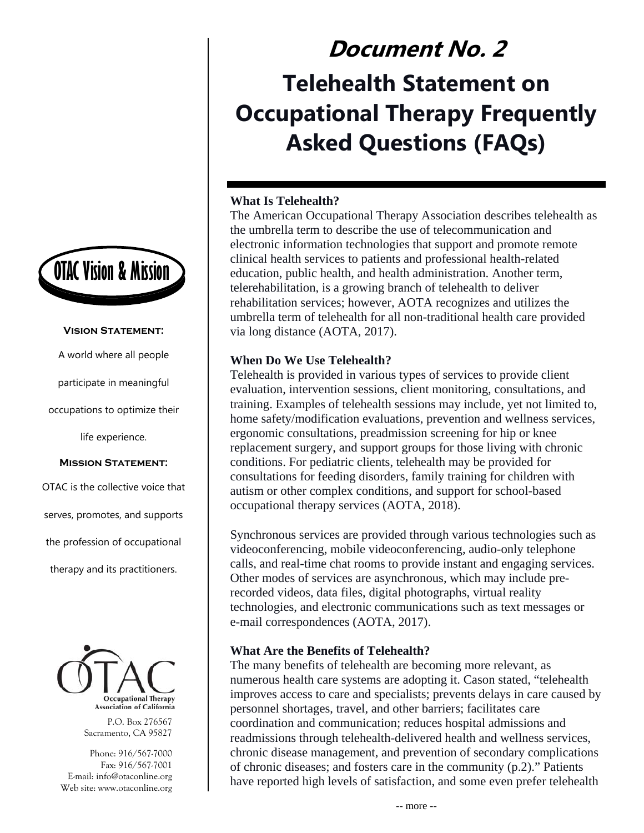

#### **Vision Statement:**

A world where all people

participate in meaningful

occupations to optimize their

life experience.

#### **Mission Statement:**

OTAC is the collective voice that serves, promotes, and supports the profession of occupational therapy and its practitioners.



P.O. Box 276567 Sacramento, CA 95827

Phone: 916/567-7000 Fax: 916/567-7001 E-mail: info@otaconline.org Web site: www.otaconline.org

# **Document No. 2 Telehealth Statement on Occupational Therapy Frequently Asked Questions (FAQs)**

# **What Is Telehealth?**

The American Occupational Therapy Association describes telehealth as the umbrella term to describe the use of telecommunication and electronic information technologies that support and promote remote clinical health services to patients and professional health-related education, public health, and health administration. Another term, telerehabilitation, is a growing branch of telehealth to deliver rehabilitation services; however, AOTA recognizes and utilizes the umbrella term of telehealth for all non-traditional health care provided via long distance (AOTA, 2017).

## **When Do We Use Telehealth?**

Telehealth is provided in various types of services to provide client evaluation, intervention sessions, client monitoring, consultations, and training. Examples of telehealth sessions may include, yet not limited to, home safety/modification evaluations, prevention and wellness services, ergonomic consultations, preadmission screening for hip or knee replacement surgery, and support groups for those living with chronic conditions. For pediatric clients, telehealth may be provided for consultations for feeding disorders, family training for children with autism or other complex conditions, and support for school-based occupational therapy services (AOTA, 2018).

Synchronous services are provided through various technologies such as videoconferencing, mobile videoconferencing, audio-only telephone calls, and real-time chat rooms to provide instant and engaging services. Other modes of services are asynchronous, which may include prerecorded videos, data files, digital photographs, virtual reality technologies, and electronic communications such as text messages or e-mail correspondences (AOTA, 2017).

## **What Are the Benefits of Telehealth?**

The many benefits of telehealth are becoming more relevant, as numerous health care systems are adopting it. Cason stated, "telehealth improves access to care and specialists; prevents delays in care caused by personnel shortages, travel, and other barriers; facilitates care coordination and communication; reduces hospital admissions and readmissions through telehealth-delivered health and wellness services, chronic disease management, and prevention of secondary complications of chronic diseases; and fosters care in the community (p.2)." Patients have reported high levels of satisfaction, and some even prefer telehealth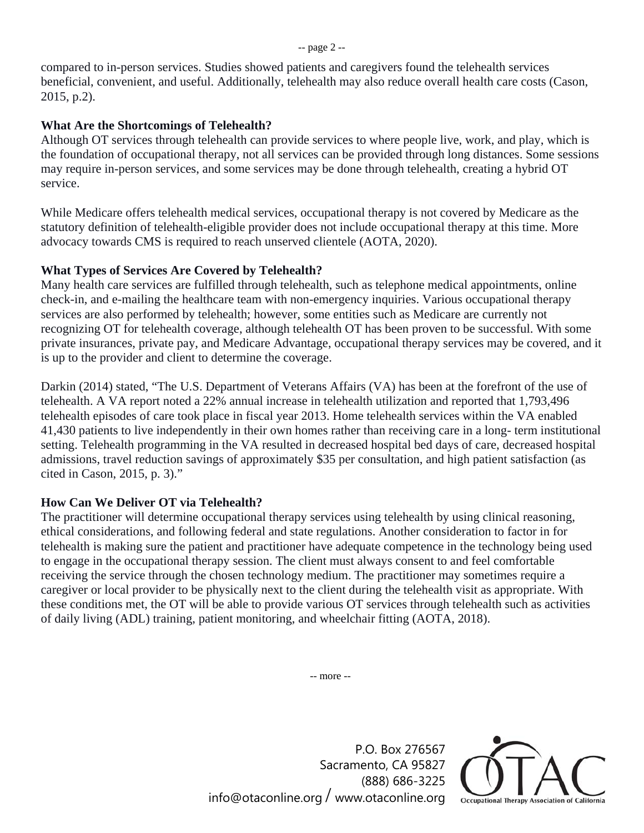compared to in-person services. Studies showed patients and caregivers found the telehealth services beneficial, convenient, and useful. Additionally, telehealth may also reduce overall health care costs (Cason, 2015, p.2).

## **What Are the Shortcomings of Telehealth?**

Although OT services through telehealth can provide services to where people live, work, and play, which is the foundation of occupational therapy, not all services can be provided through long distances. Some sessions may require in-person services, and some services may be done through telehealth, creating a hybrid OT service.

While Medicare offers telehealth medical services, occupational therapy is not covered by Medicare as the statutory definition of telehealth-eligible provider does not include occupational therapy at this time. More advocacy towards CMS is required to reach unserved clientele (AOTA, 2020).

#### **What Types of Services Are Covered by Telehealth?**

Many health care services are fulfilled through telehealth, such as telephone medical appointments, online check-in, and e-mailing the healthcare team with non-emergency inquiries. Various occupational therapy services are also performed by telehealth; however, some entities such as Medicare are currently not recognizing OT for telehealth coverage, although telehealth OT has been proven to be successful. With some private insurances, private pay, and Medicare Advantage, occupational therapy services may be covered, and it is up to the provider and client to determine the coverage.

Darkin (2014) stated, "The U.S. Department of Veterans Affairs (VA) has been at the forefront of the use of telehealth. A VA report noted a 22% annual increase in telehealth utilization and reported that 1,793,496 telehealth episodes of care took place in fiscal year 2013. Home telehealth services within the VA enabled 41,430 patients to live independently in their own homes rather than receiving care in a long- term institutional setting. Telehealth programming in the VA resulted in decreased hospital bed days of care, decreased hospital admissions, travel reduction savings of approximately \$35 per consultation, and high patient satisfaction (as cited in Cason, 2015, p. 3)."

## **How Can We Deliver OT via Telehealth?**

The practitioner will determine occupational therapy services using telehealth by using clinical reasoning, ethical considerations, and following federal and state regulations. Another consideration to factor in for telehealth is making sure the patient and practitioner have adequate competence in the technology being used to engage in the occupational therapy session. The client must always consent to and feel comfortable receiving the service through the chosen technology medium. The practitioner may sometimes require a caregiver or local provider to be physically next to the client during the telehealth visit as appropriate. With these conditions met, the OT will be able to provide various OT services through telehealth such as activities of daily living (ADL) training, patient monitoring, and wheelchair fitting (AOTA, 2018).

-- more --

P.O. Box 276567 Sacramento, CA 95827 (888) 686-3225 info@otaconline.org / www.otaconline.org